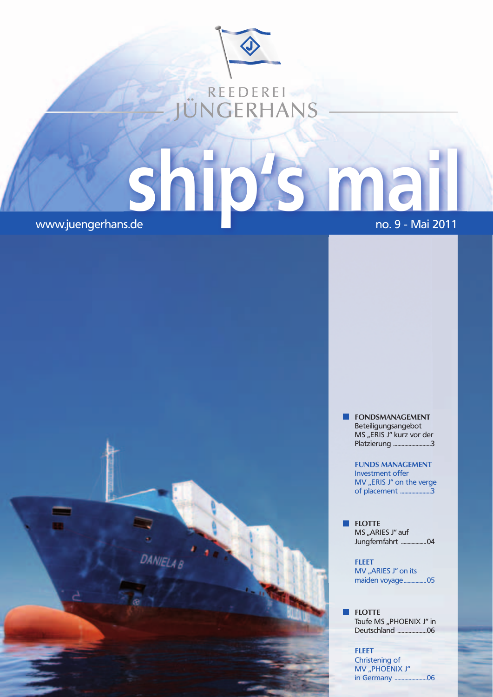

**ship is a ship of the ship of the ship of the ship of the ship of the ship of the ship of the ship of the ship of the ship of the ship of the ship of the ship of the ship of the ship of the ship of the ship of the ship of** 

DANIELA B

**FONDSMANAGEMENT**  Beteiligungsangebot MS "ERIS J" kurz vor der Platzierung ...........................3

> **FuNDS MANAGEMENT** Investment offer MV "ERIS J" on the verge of placement ......................3

**FLOTTE** MS "ARIES J" auf Jungfernfahrt ...................04

**FLEET** MV "ARIES J" on its maiden voyage .................05

**FLOTTE** Taufe MS "PHOENIX J" in Deutschland .....................06

**FLEET** Christening of MV "PHOENIX J" in Germany .......................06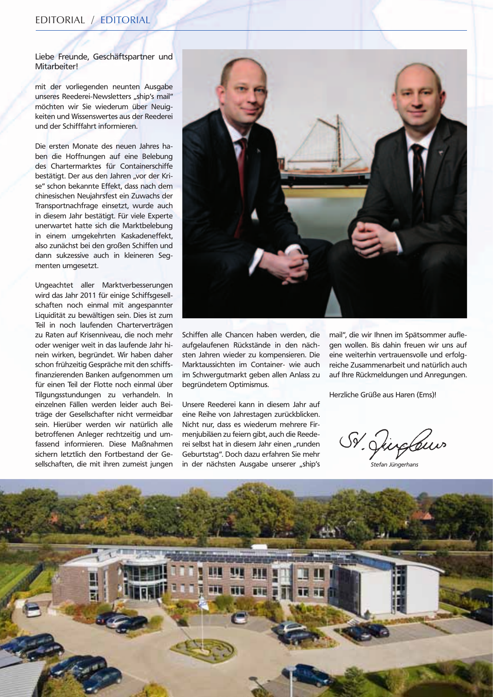Liebe Freunde, Geschäftspartner und Mitarbeiter!

mit der vorliegenden neunten Ausgabe unseres Reederei-Newsletters "ship's mail" möchten wir Sie wiederum über Neuigkeiten und Wissenswertes aus der Reederei und der Schifffahrt informieren.

Die ersten Monate des neuen Jahres haben die Hoffnungen auf eine Belebung des Chartermarktes für Containerschiffe bestätigt. Der aus den Jahren "vor der Krise" schon bekannte Effekt, dass nach dem chinesischen Neujahrsfest ein Zuwachs der Transportnachfrage einsetzt, wurde auch in diesem Jahr bestätigt. Für viele Experte unerwartet hatte sich die Marktbelebung in einem umgekehrten Kaskadeneffekt, also zunächst bei den großen Schiffen und dann sukzessive auch in kleineren Segmenten umgesetzt.

Ungeachtet aller Marktverbesserungen wird das Jahr 2011 für einige Schiffsgesellschaften noch einmal mit angespannter Liquidität zu bewältigen sein. Dies ist zum Teil in noch laufenden Charterverträgen zu Raten auf Krisenniveau, die noch mehr oder weniger weit in das laufende Jahr hinein wirken, begründet. Wir haben daher schon frühzeitig Gespräche mit den schiffsfinanzierenden Banken aufgenommen um für einen Teil der Flotte noch einmal über Tilgungsstundungen zu verhandeln. In einzelnen Fällen werden leider auch Beiträge der Gesellschafter nicht vermeidbar sein. Hierüber werden wir natürlich alle betroffenen Anleger rechtzeitig und umfassend informieren. Diese Maßnahmen sichern letztlich den Fortbestand der Gesellschaften, die mit ihren zumeist jungen



Schiffen alle Chancen haben werden, die aufgelaufenen Rückstände in den nächsten Jahren wieder zu kompensieren. Die Marktaussichten im Container- wie auch im Schwergutmarkt geben allen Anlass zu begründetem Optimismus.

Unsere Reederei kann in diesem Jahr auf eine Reihe von Jahrestagen zurückblicken. Nicht nur, dass es wiederum mehrere Firmenjubiläen zu feiern gibt, auch die Reederei selbst hat in diesem Jahr einen "runden Geburtstag". Doch dazu erfahren Sie mehr in der nächsten Ausgabe unserer "ship's **Stefan Jüngerhans** 

mail", die wir Ihnen im Spätsommer auflegen wollen. Bis dahin freuen wir uns auf eine weiterhin vertrauensvolle und erfolgreiche Zusammenarbeit und natürlich auch auf Ihre Rückmeldungen und Anregungen.

Herzliche Grüße aus Haren (Ems)!

Sr. Juglew

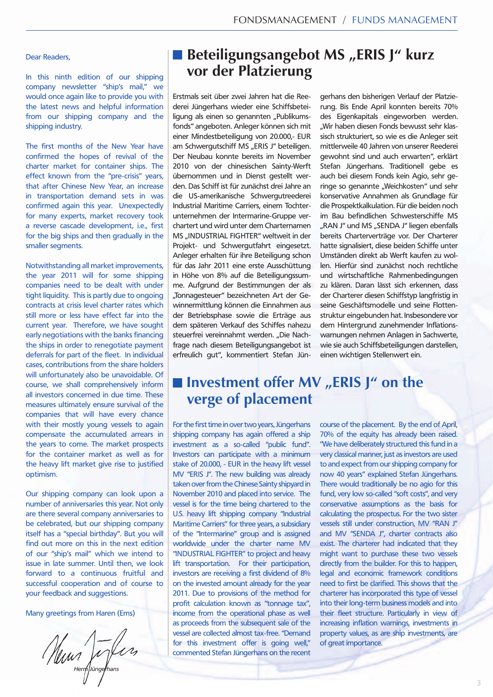#### Dear Readers,

In this ninth edition of our shipping company newsletter "ship's mail," we would once again like to provide you with the latest news and helpful information from our shipping company and the shipping industry.

The first months of the New Year have confirmed the hopes of revival of the charter market for container ships. The effect known from the "pre-crisis" years, that after Chinese New Year, an increase in transportation demand sets in was confirmed again this year. Unexpectedly for many experts, market recovery took a reverse cascade development, i.e., first for the big ships and then gradually in the smaller segments.

Notwithstanding all market improvements, the year 2011 will for some shipping companies need to be dealt with under tight liquidity. This is partly due to ongoing contracts at crisis level charter rates which still more or less have effect far into the current year. Therefore, we have sought early negotiations with the banks financing the ships in order to renegotiate payment deferrals for part of the fleet. In individual cases, contributions from the share holders will unfortunately also be unavoidable. Of course, we shall comprehensively inform all investors concerned in due time. These measures ultimately ensure survival of the companies that will have every chance with their mostly young vessels to again compensate the accumulated arrears in the years to come. The market prospects for the container market as well as for the heavy lift market give rise to justified optimism.

Our shipping company can look upon a number of anniversaries this year. Not only are there several company anniversaries to be celebrated, but our shipping company itself has a "special birthday". But you will find out more on this in the next edition of our "ship's mail" which we intend to issue in late summer. Until then, we look forward to a continuous fruitful and successful cooperation and of course to your feedback and suggestions.

Many greetings from Haren (Ems)

*Herm Jüngerhans*

# **Beteiligungsangebot MS "ERIS J" kurz vor der Platzierung**

Erstmals seit über zwei Jahren hat die Reederei Jüngerhans wieder eine Schiffsbeteiligung als einen so genannten "Publikumsfonds" angeboten. Anleger können sich mit einer Mindestbeteiligung von 20.000,- EUR am Schwergutschiff MS "ERIS J" beteiligen. Der Neubau konnte bereits im November 2010 von der chinesischen Sainty-Werft übernommen und in Dienst gestellt werden. Das Schiff ist für zunächst drei Jahre an die US-amerikanische Schwergutreederei Industrial Maritime Carriers, einem Tochterunternehmen der Intermarine-Gruppe verchartert und wird unter dem Charternamen MS "INDUSTRIAL FIGHTER" weltweit in der Projekt- und Schwergutfahrt eingesetzt. Anleger erhalten für ihre Beteiligung schon für das Jahr 2011 eine erste Ausschüttung in Höhe von 8% auf die Beteiligungssumme. Aufgrund der Bestimmungen der als "Tonnagesteuer" bezeichneten Art der Gewinnermittlung können die Einnahmen aus der Betriebsphase sowie die Erträge aus dem späteren Verkauf des Schiffes nahezu steuerfrei vereinnahmt werden. "Die Nachfrage nach diesem Beteiligungsangebot ist erfreulich gut", kommentiert Stefan Jün-

gerhans den bisherigen Verlauf der Platzierung. Bis Ende April konnten bereits 70% des Eigenkapitals eingeworben werden. "Wir haben diesen Fonds bewusst sehr klassisch strukturiert, so wie es die Anleger seit mittlerweile 40 Jahren von unserer Reederei gewohnt sind und auch erwarten", erklärt Stefan Jüngerhans. Traditionell gebe es auch bei diesem Fonds kein Agio, sehr geringe so genannte "Weichkosten" und sehr konservative Annahmen als Grundlage für die Prospektkalkulation. Für die beiden noch im Bau befindlichen Schwesterschiffe MS "RAN J" und MS "SENDA J" liegen ebenfalls bereits Charterverträge vor. Der Charterer hatte signalisiert, diese beiden Schiffe unter Umständen direkt ab Werft kaufen zu wollen. Hierfür sind zunächst noch rechtliche und wirtschaftliche Rahmenbedingungen zu klären. Daran lässt sich erkennen, dass der Charterer diesen Schiffstyp langfristig in seine Geschäftsmodelle und seine Flottenstruktur eingebunden hat. Insbesondere vor dem Hintergrund zunehmender Inflationswarnungen nehmen Anlagen in Sachwerte, wie sie auch Schiffsbeteiligungen darstellen, einen wichtigen Stellenwert ein.

## $\blacksquare$  Investment offer MV "ERIS J" on the **verge of placement**

For the first time in over two years, Jüngerhans shipping company has again offered a ship investment as a so-called "public fund". Investors can participate with a minimum stake of 20.000, - EUR in the heavy lift vessel MV "ERIS J". The new building was already taken over from the Chinese Sainty shipyard in November 2010 and placed into service. The vessel is for the time being chartered to the U.S. heavy lift shipping company "Industrial Maritime Carriers" for three years, a subsidiary of the "Intermarine" group and is assigned worldwide under the charter name MV "INDUSTRIAL FIGHTER" to project and heavy lift transportation. For their participation, investors are receiving a first dividend of 8% on the invested amount already for the year 2011. Due to provisions of the method for profit calculation known as "tonnage tax", income from the operational phase as well as proceeds from the subsequent sale of the vessel are collected almost tax-free. "Demand for this investment offer is going well," commented Stefan Jüngerhans on the recent course of the placement. By the end of April, 70% of the equity has already been raised. "We have deliberately structured this fund in a very classical manner, just as investors are used to and expect from our shipping company for now 40 years" explained Stefan Jüngerhans. There would traditionally be no agio for this fund, very low so-called "soft costs", and very conservative assumptions as the basis for calculating the prospectus. For the two sister vessels still under construction, MV "RAN J" and MV "SENDA J", charter contracts also exist. The charterer had indicated that they might want to purchase these two vessels directly from the builder. For this to happen, legal and economic framework conditions need to first be clarified. This shows that the charterer has incorporated this type of vessel into their long-term business models and into their fleet structure. Particularly in view of increasing inflation warnings, investments in property values, as are ship investments, are of great importance.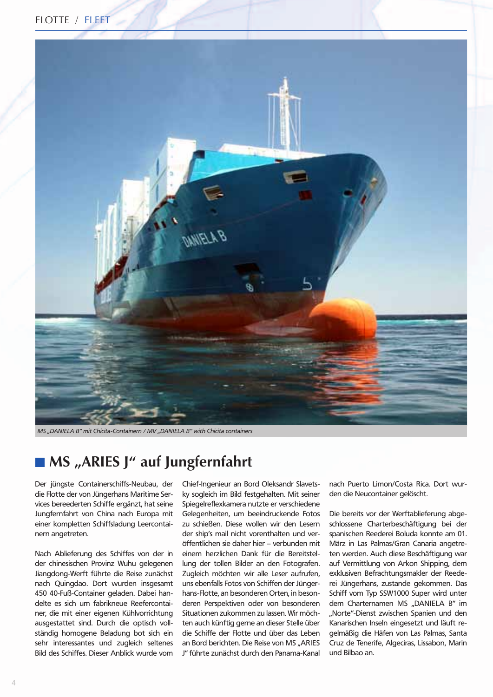



*MS* "DANIELA B" mit Chicita-Containern / MV "DANIELA B" with Chicita containers

## ■ MS "ARIES J" auf Jungfernfahrt

Der jüngste Containerschiffs-Neubau, der die Flotte der von Jüngerhans Maritime Services bereederten Schiffe ergänzt, hat seine Jungfernfahrt von China nach Europa mit einer kompletten Schiffsladung Leercontainern angetreten.

Nach Ablieferung des Schiffes von der in der chinesischen Provinz Wuhu gelegenen Jiangdong-Werft führte die Reise zunächst nach Quingdao. Dort wurden insgesamt 450 40-Fuß-Container geladen. Dabei handelte es sich um fabrikneue Reefercontainer, die mit einer eigenen Kühlvorrichtung ausgestattet sind. Durch die optisch vollständig homogene Beladung bot sich ein sehr interessantes und zugleich seltenes Bild des Schiffes. Dieser Anblick wurde vom

Chief-Ingenieur an Bord Oleksandr Slavetsky sogleich im Bild festgehalten. Mit seiner Spiegelreflexkamera nutzte er verschiedene Gelegenheiten, um beeindruckende Fotos zu schießen. Diese wollen wir den Lesern der ship's mail nicht vorenthalten und veröffentlichen sie daher hier – verbunden mit einem herzlichen Dank für die Bereitstellung der tollen Bilder an den Fotografen. Zugleich möchten wir alle Leser aufrufen, uns ebenfalls Fotos von Schiffen der Jüngerhans-Flotte, an besonderen Orten, in besonderen Perspektiven oder von besonderen Situationen zukommen zu lassen. Wir möchten auch künftig gerne an dieser Stelle über die Schiffe der Flotte und über das Leben an Bord berichten. Die Reise von MS "ARIES J" führte zunächst durch den Panama-Kanal

nach Puerto Limon/Costa Rica. Dort wurden die Neucontainer gelöscht.

Die bereits vor der Werftablieferung abgeschlossene Charterbeschäftigung bei der spanischen Reederei Boluda konnte am 01. März in Las Palmas/Gran Canaria angetreten werden. Auch diese Beschäftigung war auf Vermittlung von Arkon Shipping, dem exklusiven Befrachtungsmakler der Reederei Jüngerhans, zustande gekommen. Das Schiff vom Typ SSW1000 Super wird unter dem Charternamen MS "DANIELA B" im "Norte"-Dienst zwischen Spanien und den Kanarischen Inseln eingesetzt und läuft regelmäßig die Häfen von Las Palmas, Santa Cruz de Tenerife, Algeciras, Lissabon, Marin und Bilbao an.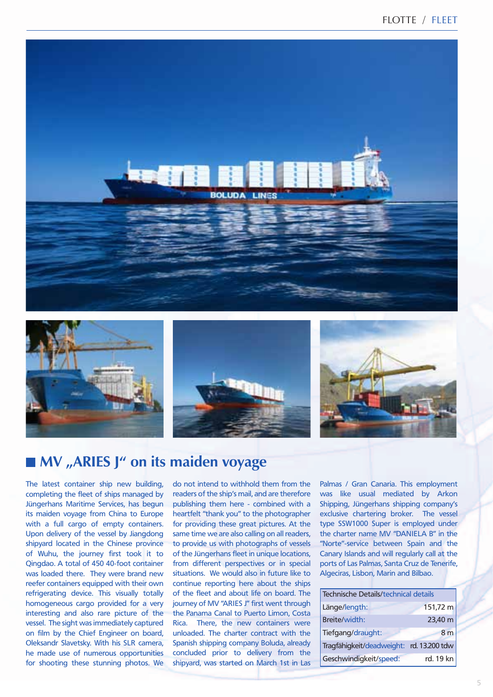







# **MV** "ARIES J" on its maiden voyage

The latest container ship new building, completing the fleet of ships managed by Jüngerhans Maritime Services, has begun its maiden voyage from China to Europe with a full cargo of empty containers. Upon delivery of the vessel by Jiangdong shipyard located in the Chinese province of Wuhu, the journey first took it to Qingdao. A total of 450 40-foot container was loaded there. They were brand new reefer containers equipped with their own refrigerating device. This visually totally homogeneous cargo provided for a very interesting and also rare picture of the vessel. The sight was immediately captured on film by the Chief Engineer on board, Oleksandr Slavetsky. With his SLR camera, he made use of numerous opportunities for shooting these stunning photos. We

do not intend to withhold them from the readers of the ship's mail, and are therefore publishing them here - combined with a heartfelt "thank you" to the photographer for providing these great pictures. At the same time we are also calling on all readers, to provide us with photographs of vessels of the Jüngerhans fleet in unique locations, from different perspectives or in special situations. We would also in future like to continue reporting here about the ships of the fleet and about life on board. The journey of MV "ARIES J" first went through the Panama Canal to Puerto Limon, Costa Rica. There, the new containers were unloaded. The charter contract with the Spanish shipping company Boluda, already concluded prior to delivery from the shipyard, was started on March 1st in Las

Palmas / Gran Canaria. This employment was like usual mediated by Arkon Shipping, Jüngerhans shipping company's exclusive chartering broker. The vessel type SSW1000 Super is employed under the charter name MV "DANIELA B" in the "Norte"-service between Spain and the Canary Islands and will regularly call at the ports of Las Palmas, Santa Cruz de Tenerife, Algeciras, Lisbon, Marin and Bilbao.

| Technische Details/technical details     |                |
|------------------------------------------|----------------|
| Länge/length:                            | 151,72 m       |
| Breite/width:                            | 23,40 m        |
| Tiefgang/draught:                        | 8 <sub>m</sub> |
| Tragfähigkeit/deadweight: rd. 13.200 tdw |                |
| Geschwindigkeit/speed:                   | rd. 19 kn      |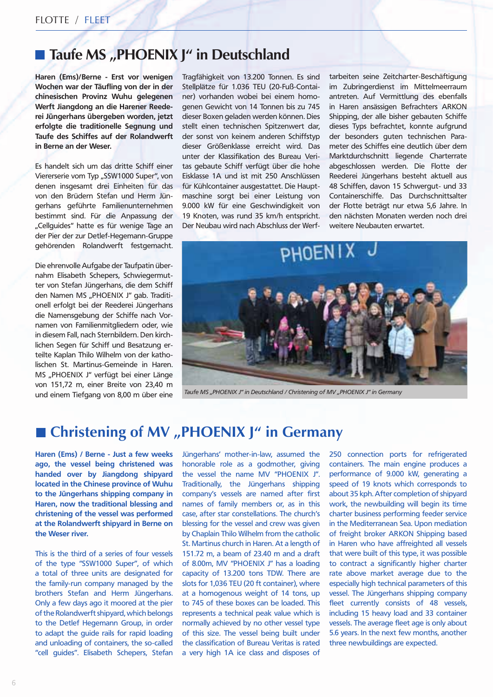## Taufe MS "PHOENIX J" in Deutschland

**Haren (Ems)/Berne - Erst vor wenigen Wochen war der Täufling von der in der chinesischen Provinz Wuhu gelegenen Werft Jiangdong an die Harener Reederei Jüngerhans übergeben worden, jetzt erfolgte die traditionelle Segnung und Taufe des Schiffes auf der Rolandwerft in Berne an der Weser.** 

Es handelt sich um das dritte Schiff einer Viererserie vom Typ "SSW1000 Super", von denen insgesamt drei Einheiten für das von den Brüdern Stefan und Herm Jüngerhans geführte Familienunternehmen bestimmt sind. Für die Anpassung der "Cellquides" hatte es für wenige Tage an der Pier der zur Detlef-Hegemann-Gruppe gehörenden Rolandwerft festgemacht.

Die ehrenvolle Aufgabe der Taufpatin übernahm Elisabeth Schepers, Schwiegermutter von Stefan Jüngerhans, die dem Schiff den Namen MS "PHOENIX J" gab. Traditionell erfolgt bei der Reederei Jüngerhans die Namensgebung der Schiffe nach Vornamen von Familienmitgliedern oder, wie in diesem Fall, nach Sternbildern. Den kirchlichen Segen für Schiff und Besatzung erteilte Kaplan Thilo Wilhelm von der katholischen St. Martinus-Gemeinde in Haren. MS "PHOENIX J" verfügt bei einer Länge von 151,72 m, einer Breite von 23,40 m und einem Tiefgang von 8,00 m über eine Tragfähigkeit von 13.200 Tonnen. Es sind Stellplätze für 1.036 TEU (20-Fuß-Container) vorhanden wobei bei einem homogenen Gewicht von 14 Tonnen bis zu 745 dieser Boxen geladen werden können. Dies stellt einen technischen Spitzenwert dar, der sonst von keinem anderen Schiffstyp dieser Größenklasse erreicht wird. Das unter der Klassifikation des Bureau Veritas gebaute Schiff verfügt über die hohe Eisklasse 1A und ist mit 250 Anschlüssen für Kühlcontainer ausgestattet. Die Hauptmaschine sorgt bei einer Leistung von 9.000 kW für eine Geschwindigkeit von 19 Knoten, was rund 35 km/h entspricht. Der Neubau wird nach Abschluss der Werf-

tarbeiten seine Zeitcharter-Beschäftigung im Zubringerdienst im Mittelmeerraum antreten. Auf Vermittlung des ebenfalls in Haren ansässigen Befrachters ARKON Shipping, der alle bisher gebauten Schiffe dieses Typs befrachtet, konnte aufgrund der besonders guten technischen Parameter des Schiffes eine deutlich über dem Marktdurchschnitt liegende Charterrate abgeschlossen werden. Die Flotte der Reederei Jüngerhans besteht aktuell aus 48 Schiffen, davon 15 Schwergut- und 33 Containerschiffe. Das Durchschnittsalter der Flotte beträgt nur etwa 5,6 Jahre. In den nächsten Monaten werden noch drei weitere Neubauten erwartet.



*Taufe MS "PHOENIX J" in Deutschland / Christening of MV "PHOENIX J" in Germany* 

# **Christening of MV "PHOENIX J" in Germany**

**Haren (Ems) / Berne - Just a few weeks ago, the vessel being christened was handed over by Jiangdong shipyard located in the Chinese province of Wuhu to the Jüngerhans shipping company in Haren, now the traditional blessing and christening of the vessel was performed at the Rolandwerft shipyard in Berne on the Weser river.**

This is the third of a series of four vessels of the type "SSW1000 Super", of which a total of three units are designated for the family-run company managed by the brothers Stefan and Herm Jüngerhans. Only a few days ago it moored at the pier of the Rolandwerft shipyard, which belongs to the Detlef Hegemann Group, in order to adapt the guide rails for rapid loading and unloading of containers, the so-called "cell guides". Elisabeth Schepers, Stefan Jüngerhans' mother-in-law, assumed the honorable role as a godmother, giving the vessel the name MV "PHOENIX J". Traditionally, the Jüngerhans shipping company's vessels are named after first names of family members or, as in this case, after star constellations. The church's blessing for the vessel and crew was given by Chaplain Thilo Wilhelm from the catholic St. Martinus church in Haren. At a length of 151.72 m, a beam of 23.40 m and a draft of 8.00m, MV "PHOENIX J" has a loading capacity of 13.200 tons TDW. There are slots for 1,036 TEU (20 ft container), where at a homogenous weight of 14 tons, up to 745 of these boxes can be loaded. This represents a technical peak value which is normally achieved by no other vessel type of this size. The vessel being built under the classification of Bureau Veritas is rated a very high 1A ice class and disposes of

250 connection ports for refrigerated containers. The main engine produces a performance of 9.000 kW, generating a speed of 19 knots which corresponds to about 35 kph. After completion of shipyard work, the newbuilding will begin its time charter business performing feeder service in the Mediterranean Sea. Upon mediation of freight broker ARKON Shipping based in Haren who have affreighted all vessels that were built of this type, it was possible to contract a significantly higher charter rate above market average due to the especially high technical parameters of this vessel. The Jüngerhans shipping company fleet currently consists of 48 vessels, including 15 heavy load and 33 container vessels. The average fleet age is only about 5.6 years. In the next few months, another three newbuildings are expected.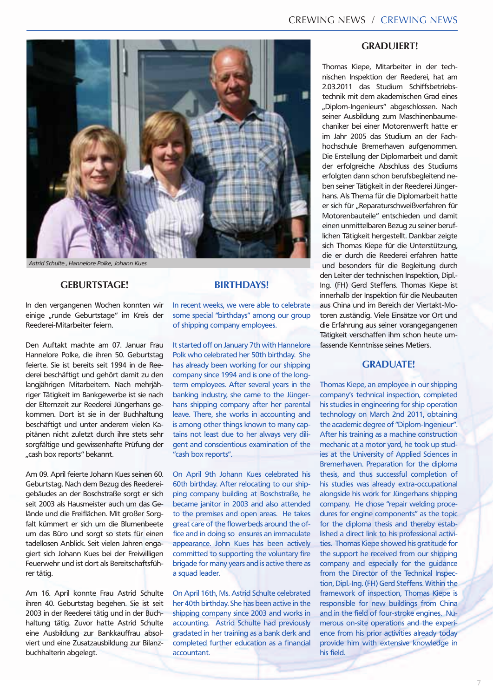

*Astrid Schulte , Hannelore Polke, Johann Kues*

#### **Geburtstage!**

In den vergangenen Wochen konnten wir einige "runde Geburtstage" im Kreis der Reederei-Mitarbeiter feiern.

Den Auftakt machte am 07. Januar Frau Hannelore Polke, die ihren 50. Geburtstag feierte. Sie ist bereits seit 1994 in de Reederei beschäftigt und gehört damit zu den langjährigen Mitarbeitern. Nach mehrjähriger Tätigkeit im Bankgewerbe ist sie nach der Elternzeit zur Reederei Jüngerhans gekommen. Dort ist sie in der Buchhaltung beschäftigt und unter anderem vielen Kapitänen nicht zuletzt durch ihre stets sehr sorgfältige und gewissenhafte Prüfung der "cash box reports" bekannt.

Am 09. April feierte Johann Kues seinen 60. Geburtstag. Nach dem Bezug des Reedereigebäudes an der Boschstraße sorgt er sich seit 2003 als Hausmeister auch um das Gelände und die Freiflächen. Mit großer Sorgfalt kümmert er sich um die Blumenbeete um das Büro und sorgt so stets für einen tadellosen Anblick. Seit vielen Jahren engagiert sich Johann Kues bei der Freiwilligen Feuerwehr und ist dort als Bereitschaftsführer tätig.

Am 16. April konnte Frau Astrid Schulte ihren 40. Geburtstag begehen. Sie ist seit 2003 in der Reederei tätig und in der Buchhaltung tätig. Zuvor hatte Astrid Schulte eine Ausbildung zur Bankkauffrau absolviert und eine Zusatzausbildung zur Bilanzbuchhalterin abgelegt.

#### **BIRTHDAYS!**

In recent weeks, we were able to celebrate some special "birthdays" among our group of shipping company employees.

It started off on January 7th with Hannelore Polk who celebrated her 50th birthday. She has already been working for our shipping company since 1994 and is one of the longterm employees. After several years in the banking industry, she came to the Jüngerhans shipping company after her parental leave. There, she works in accounting and is among other things known to many captains not least due to her always very diligent and conscientious examination of the "cash box reports".

On April 9th Johann Kues celebrated his 60th birthday. After relocating to our shipping company building at Boschstraße, he became janitor in 2003 and also attended to the premises and open areas. He takes great care of the flowerbeds around the office and in doing so ensures an immaculate appearance. John Kues has been actively committed to supporting the voluntary fire brigade for many years and is active there as a squad leader.

On April 16th, Ms. Astrid Schulte celebrated her 40th birthday. She has been active in the shipping company since 2003 and works in accounting. Astrid Schulte had previously gradated in her training as a bank clerk and completed further education as a financial accountant.

#### **Graduiert!**

Thomas Kiepe, Mitarbeiter in der technischen Inspektion der Reederei, hat am 2.03.2011 das Studium Schiffsbetriebstechnik mit dem akademischen Grad eines "Diplom-Ingenieurs" abgeschlossen. Nach seiner Ausbildung zum Maschinenbaumechaniker bei einer Motorenwerft hatte er im Jahr 2005 das Studium an der Fachhochschule Bremerhaven aufgenommen. Die Erstellung der Diplomarbeit und damit der erfolgreiche Abschluss des Studiums erfolgten dann schon berufsbegleitend neben seiner Tätigkeit in der Reederei Jüngerhans. Als Thema für die Diplomarbeit hatte er sich für "Reparaturschweißverfahren für Motorenbauteile" entschieden und damit einen unmittelbaren Bezug zu seiner beruflichen Tätigkeit hergestellt. Dankbar zeigte sich Thomas Kiepe für die Unterstützung, die er durch die Reederei erfahren hatte und besonders für die Begleitung durch den Leiter der technischen Inspektion, Dipl.- Ing. (FH) Gerd Steffens. Thomas Kiepe ist innerhalb der Inspektion für die Neubauten aus China und im Bereich der Viertakt-Motoren zuständig. Viele Einsätze vor Ort und die Erfahrung aus seiner vorangegangenen Tätigkeit verschaffen ihm schon heute umfassende Kenntnisse seines Metiers.

### **GRADUATE!**

Thomas Kiepe, an employee in our shipping company's technical inspection, completed his studies in engineering for ship operation technology on March 2nd 2011, obtaining the academic degree of "Diplom-Ingenieur". After his training as a machine construction mechanic at a motor yard, he took up studies at the University of Applied Sciences in Bremerhaven. Preparation for the diploma thesis, and thus successful completion of his studies was already extra-occupational alongside his work for Jüngerhans shipping company. He chose "repair welding procedures for engine components" as the topic for the diploma thesis and thereby established a direct link to his professional activities. Thomas Kiepe showed his gratitude for the support he received from our shipping company and especially for the guidance from the Director of the Technical Inspection, Dipl.-Ing. (FH) Gerd Steffens. Within the framework of inspection, Thomas Kiepe is responsible for new buildings from China and in the field of four-stroke engines. Numerous on-site operations and the experience from his prior activities already today provide him with extensive knowledge in his field.